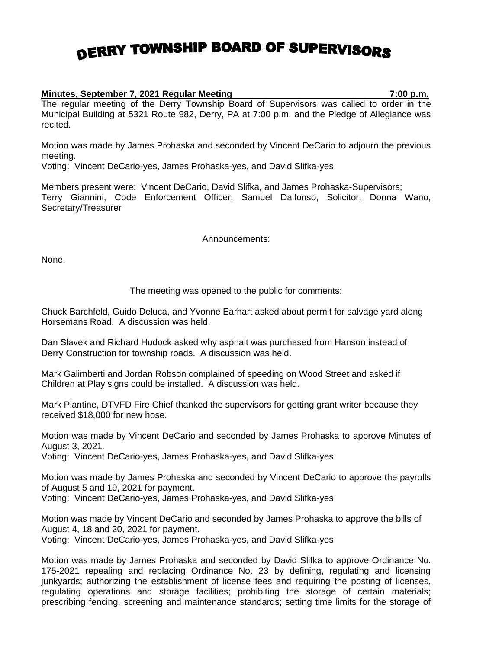## DERRY TOWNSHIP BOARD OF SUPERVISORS

## **Minutes, September 7, 2021 Regular Meeting 7:00 p.m.**

The regular meeting of the Derry Township Board of Supervisors was called to order in the Municipal Building at 5321 Route 982, Derry, PA at 7:00 p.m. and the Pledge of Allegiance was recited.

Motion was made by James Prohaska and seconded by Vincent DeCario to adjourn the previous meeting.

Voting: Vincent DeCario-yes, James Prohaska-yes, and David Slifka-yes

Members present were: Vincent DeCario, David Slifka, and James Prohaska-Supervisors; Terry Giannini, Code Enforcement Officer, Samuel Dalfonso, Solicitor, Donna Wano, Secretary/Treasurer

## Announcements:

None.

## The meeting was opened to the public for comments:

Chuck Barchfeld, Guido Deluca, and Yvonne Earhart asked about permit for salvage yard along Horsemans Road. A discussion was held.

Dan Slavek and Richard Hudock asked why asphalt was purchased from Hanson instead of Derry Construction for township roads. A discussion was held.

Mark Galimberti and Jordan Robson complained of speeding on Wood Street and asked if Children at Play signs could be installed. A discussion was held.

Mark Piantine, DTVFD Fire Chief thanked the supervisors for getting grant writer because they received \$18,000 for new hose.

Motion was made by Vincent DeCario and seconded by James Prohaska to approve Minutes of August 3, 2021.

Voting: Vincent DeCario-yes, James Prohaska-yes, and David Slifka-yes

Motion was made by James Prohaska and seconded by Vincent DeCario to approve the payrolls of August 5 and 19, 2021 for payment.

Voting: Vincent DeCario-yes, James Prohaska-yes, and David Slifka-yes

Motion was made by Vincent DeCario and seconded by James Prohaska to approve the bills of August 4, 18 and 20, 2021 for payment.

Voting: Vincent DeCario-yes, James Prohaska-yes, and David Slifka-yes

Motion was made by James Prohaska and seconded by David Slifka to approve Ordinance No. 175-2021 repealing and replacing Ordinance No. 23 by defining, regulating and licensing junkyards; authorizing the establishment of license fees and requiring the posting of licenses, regulating operations and storage facilities; prohibiting the storage of certain materials; prescribing fencing, screening and maintenance standards; setting time limits for the storage of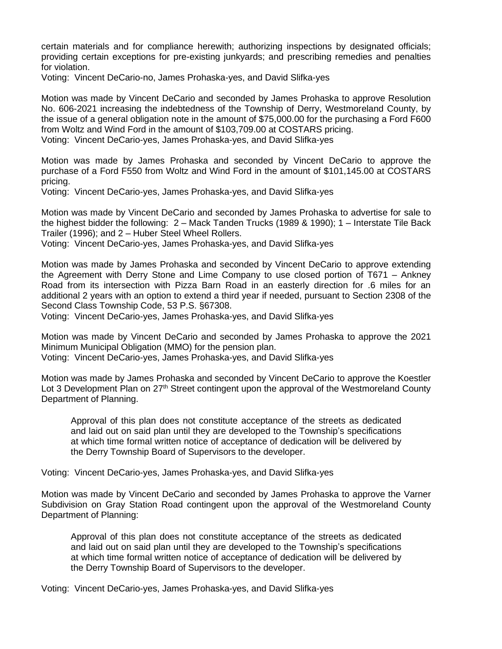certain materials and for compliance herewith; authorizing inspections by designated officials; providing certain exceptions for pre-existing junkyards; and prescribing remedies and penalties for violation.

Voting: Vincent DeCario-no, James Prohaska-yes, and David Slifka-yes

Motion was made by Vincent DeCario and seconded by James Prohaska to approve Resolution No. 606-2021 increasing the indebtedness of the Township of Derry, Westmoreland County, by the issue of a general obligation note in the amount of \$75,000.00 for the purchasing a Ford F600 from Woltz and Wind Ford in the amount of \$103,709.00 at COSTARS pricing.

Voting: Vincent DeCario-yes, James Prohaska-yes, and David Slifka-yes

Motion was made by James Prohaska and seconded by Vincent DeCario to approve the purchase of a Ford F550 from Woltz and Wind Ford in the amount of \$101,145.00 at COSTARS pricing.

Voting: Vincent DeCario-yes, James Prohaska-yes, and David Slifka-yes

Motion was made by Vincent DeCario and seconded by James Prohaska to advertise for sale to the highest bidder the following: 2 – Mack Tanden Trucks (1989 & 1990); 1 – Interstate Tile Back Trailer (1996); and 2 – Huber Steel Wheel Rollers.

Voting: Vincent DeCario-yes, James Prohaska-yes, and David Slifka-yes

Motion was made by James Prohaska and seconded by Vincent DeCario to approve extending the Agreement with Derry Stone and Lime Company to use closed portion of T671 – Ankney Road from its intersection with Pizza Barn Road in an easterly direction for .6 miles for an additional 2 years with an option to extend a third year if needed, pursuant to Section 2308 of the Second Class Township Code, 53 P.S. §67308.

Voting: Vincent DeCario-yes, James Prohaska-yes, and David Slifka-yes

Motion was made by Vincent DeCario and seconded by James Prohaska to approve the 2021 Minimum Municipal Obligation (MMO) for the pension plan.

Voting: Vincent DeCario-yes, James Prohaska-yes, and David Slifka-yes

Motion was made by James Prohaska and seconded by Vincent DeCario to approve the Koestler Lot 3 Development Plan on 27<sup>th</sup> Street contingent upon the approval of the Westmoreland County Department of Planning.

Approval of this plan does not constitute acceptance of the streets as dedicated and laid out on said plan until they are developed to the Township's specifications at which time formal written notice of acceptance of dedication will be delivered by the Derry Township Board of Supervisors to the developer.

Voting: Vincent DeCario-yes, James Prohaska-yes, and David Slifka-yes

Motion was made by Vincent DeCario and seconded by James Prohaska to approve the Varner Subdivision on Gray Station Road contingent upon the approval of the Westmoreland County Department of Planning:

Approval of this plan does not constitute acceptance of the streets as dedicated and laid out on said plan until they are developed to the Township's specifications at which time formal written notice of acceptance of dedication will be delivered by the Derry Township Board of Supervisors to the developer.

Voting: Vincent DeCario-yes, James Prohaska-yes, and David Slifka-yes